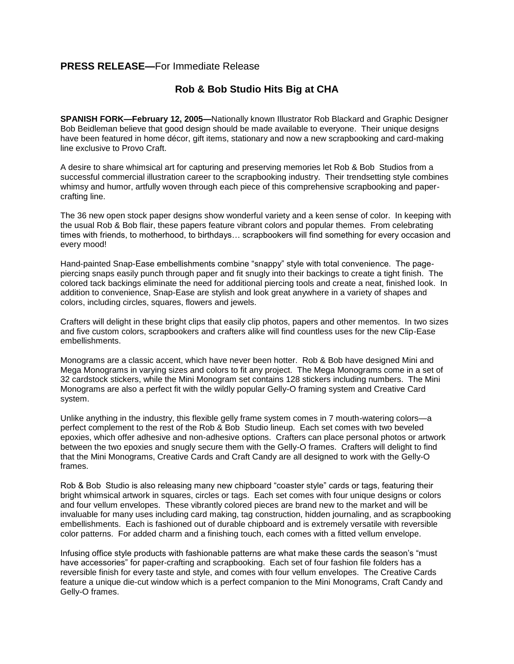## **PRESS RELEASE—**For Immediate Release

## **Rob & Bob Studio Hits Big at CHA**

**SPANISH FORK—February 12, 2005—**Nationally known Illustrator Rob Blackard and Graphic Designer Bob Beidleman believe that good design should be made available to everyone. Their unique designs have been featured in home décor, gift items, stationary and now a new scrapbooking and card-making line exclusive to Provo Craft.

A desire to share whimsical art for capturing and preserving memories let Rob & Bob Studios from a successful commercial illustration career to the scrapbooking industry. Their trendsetting style combines whimsy and humor, artfully woven through each piece of this comprehensive scrapbooking and papercrafting line.

The 36 new open stock paper designs show wonderful variety and a keen sense of color. In keeping with the usual Rob & Bob flair, these papers feature vibrant colors and popular themes. From celebrating times with friends, to motherhood, to birthdays… scrapbookers will find something for every occasion and every mood!

Hand-painted Snap-Ease embellishments combine "snappy" style with total convenience. The pagepiercing snaps easily punch through paper and fit snugly into their backings to create a tight finish. The colored tack backings eliminate the need for additional piercing tools and create a neat, finished look. In addition to convenience, Snap-Ease are stylish and look great anywhere in a variety of shapes and colors, including circles, squares, flowers and jewels.

Crafters will delight in these bright clips that easily clip photos, papers and other mementos. In two sizes and five custom colors, scrapbookers and crafters alike will find countless uses for the new Clip-Ease embellishments.

Monograms are a classic accent, which have never been hotter. Rob & Bob have designed Mini and Mega Monograms in varying sizes and colors to fit any project. The Mega Monograms come in a set of 32 cardstock stickers, while the Mini Monogram set contains 128 stickers including numbers. The Mini Monograms are also a perfect fit with the wildly popular Gelly-O framing system and Creative Card system.

Unlike anything in the industry, this flexible gelly frame system comes in 7 mouth-watering colors—a perfect complement to the rest of the Rob & Bob Studio lineup. Each set comes with two beveled epoxies, which offer adhesive and non-adhesive options. Crafters can place personal photos or artwork between the two epoxies and snugly secure them with the Gelly-O frames. Crafters will delight to find that the Mini Monograms, Creative Cards and Craft Candy are all designed to work with the Gelly-O frames.

Rob & Bob Studio is also releasing many new chipboard "coaster style" cards or tags, featuring their bright whimsical artwork in squares, circles or tags. Each set comes with four unique designs or colors and four vellum envelopes. These vibrantly colored pieces are brand new to the market and will be invaluable for many uses including card making, tag construction, hidden journaling, and as scrapbooking embellishments. Each is fashioned out of durable chipboard and is extremely versatile with reversible color patterns. For added charm and a finishing touch, each comes with a fitted vellum envelope.

Infusing office style products with fashionable patterns are what make these cards the season's "must have accessories" for paper-crafting and scrapbooking. Each set of four fashion file folders has a reversible finish for every taste and style, and comes with four vellum envelopes. The Creative Cards feature a unique die-cut window which is a perfect companion to the Mini Monograms, Craft Candy and Gelly-O frames.